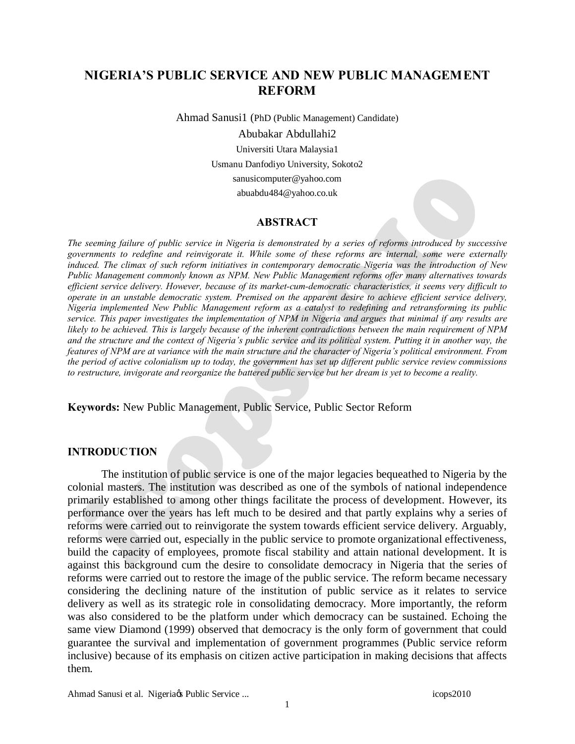# **NIGERIA'S PUBLIC SERVICE AND NEW PUBLIC MANAGEMENT REFORM**

Ahmad Sanusi1 (PhD (Public Management) Candidate)

Abubakar Abdullahi2 Universiti Utara Malaysia1 Usmanu Danfodiyo University, Sokoto2 [sanusicomputer@yahoo.com](mailto:sanusicomputer@yahoo.com) [abuabdu484@yahoo.co.uk](mailto:abuabdu484@yahoo.co.uk)

#### **ABSTRACT**

*The seeming failure of public service in Nigeria is demonstrated by a series of reforms introduced by successive governments to redefine and reinvigorate it. While some of these reforms are internal, some were externally induced. The climax of such reform initiatives in contemporary democratic Nigeria was the introduction of New Public Management commonly known as NPM. New Public Management reforms offer many alternatives towards efficient service delivery. However, because of its market-cum-democratic characteristics, it seems very difficult to operate in an unstable democratic system. Premised on the apparent desire to achieve efficient service delivery, Nigeria implemented New Public Management reform as a catalyst to redefining and retransforming its public service. This paper investigates the implementation of NPM in Nigeria and argues that minimal if any results are likely to be achieved. This is largely because of the inherent contradictions between the main requirement of NPM and the structure and the context of Nigeria's public service and its political system. Putting it in another way, the features of NPM are at variance with the main structure and the character of Nigeria's political environment. From the period of active colonialism up to today, the government has set up different public service review commissions to restructure, invigorate and reorganize the battered public service but her dream is yet to become a reality.*

**Keywords:** New Public Management, Public Service, Public Sector Reform

## **INTRODUCTION**

The institution of public service is one of the major legacies bequeathed to Nigeria by the colonial masters. The institution was described as one of the symbols of national independence primarily established to among other things facilitate the process of development. However, its performance over the years has left much to be desired and that partly explains why a series of reforms were carried out to reinvigorate the system towards efficient service delivery. Arguably, reforms were carried out, especially in the public service to promote organizational effectiveness, build the capacity of employees, promote fiscal stability and attain national development. It is against this background cum the desire to consolidate democracy in Nigeria that the series of reforms were carried out to restore the image of the public service. The reform became necessary considering the declining nature of the institution of public service as it relates to service delivery as well as its strategic role in consolidating democracy. More importantly, the reform was also considered to be the platform under which democracy can be sustained. Echoing the same view Diamond (1999) observed that democracy is the only form of government that could guarantee the survival and implementation of government programmes (Public service reform inclusive) because of its emphasis on citizen active participation in making decisions that affects them.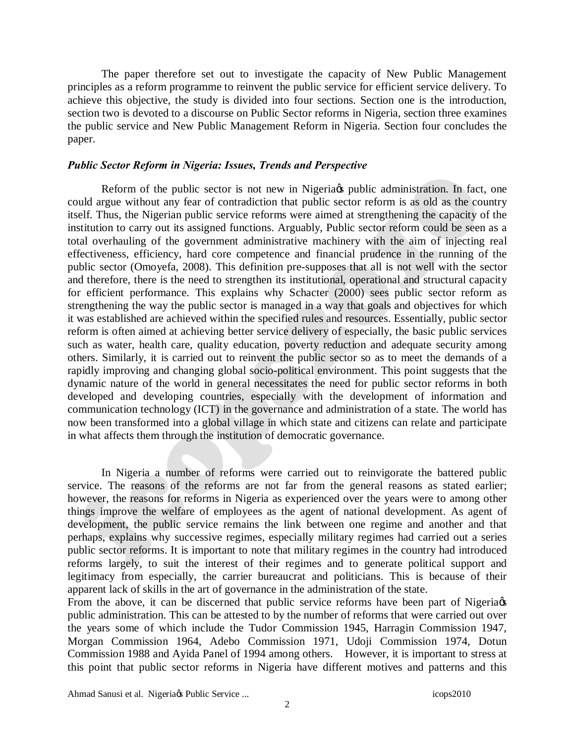The paper therefore set out to investigate the capacity of New Public Management principles as a reform programme to reinvent the public service for efficient service delivery. To achieve this objective, the study is divided into four sections. Section one is the introduction, section two is devoted to a discourse on Public Sector reforms in Nigeria, section three examines the public service and New Public Management Reform in Nigeria. Section four concludes the paper.

## *Public Sector Reform in Nigeria: Issues, Trends and Perspective*

Reform of the public sector is not new in Nigeria t public administration. In fact, one could argue without any fear of contradiction that public sector reform is as old as the country itself. Thus, the Nigerian public service reforms were aimed at strengthening the capacity of the institution to carry out its assigned functions. Arguably, Public sector reform could be seen as a total overhauling of the government administrative machinery with the aim of injecting real effectiveness, efficiency, hard core competence and financial prudence in the running of the public sector (Omoyefa, 2008). This definition pre-supposes that all is not well with the sector and therefore, there is the need to strengthen its institutional, operational and structural capacity for efficient performance. This explains why Schacter (2000) sees public sector reform as strengthening the way the public sector is managed in a way that goals and objectives for which it was established are achieved within the specified rules and resources. Essentially, public sector reform is often aimed at achieving better service delivery of especially, the basic public services such as water, health care, quality education, poverty reduction and adequate security among others. Similarly, it is carried out to reinvent the public sector so as to meet the demands of a rapidly improving and changing global socio-political environment. This point suggests that the dynamic nature of the world in general necessitates the need for public sector reforms in both developed and developing countries, especially with the development of information and communication technology (ICT) in the governance and administration of a state. The world has now been transformed into a global village in which state and citizens can relate and participate in what affects them through the institution of democratic governance.

In Nigeria a number of reforms were carried out to reinvigorate the battered public service. The reasons of the reforms are not far from the general reasons as stated earlier; however, the reasons for reforms in Nigeria as experienced over the years were to among other things improve the welfare of employees as the agent of national development. As agent of development, the public service remains the link between one regime and another and that perhaps, explains why successive regimes, especially military regimes had carried out a series public sector reforms. It is important to note that military regimes in the country had introduced reforms largely, to suit the interest of their regimes and to generate political support and legitimacy from especially, the carrier bureaucrat and politicians. This is because of their apparent lack of skills in the art of governance in the administration of the state.

From the above, it can be discerned that public service reforms have been part of Nigeria  $\alpha$ public administration. This can be attested to by the number of reforms that were carried out over the years some of which include the Tudor Commission 1945, Harragin Commission 1947, Morgan Commission 1964, Adebo Commission 1971, Udoji Commission 1974, Dotun Commission 1988 and Ayida Panel of 1994 among others. However, it is important to stress at this point that public sector reforms in Nigeria have different motives and patterns and this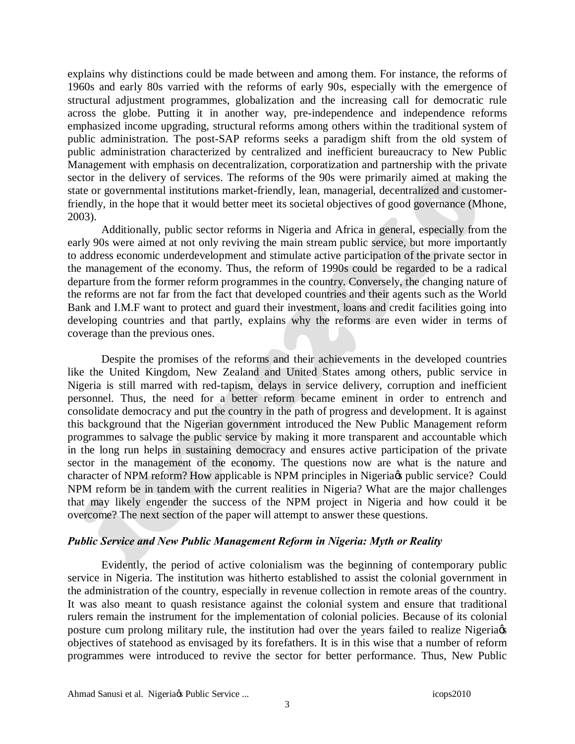explains why distinctions could be made between and among them. For instance, the reforms of 1960s and early 80s varried with the reforms of early 90s, especially with the emergence of structural adjustment programmes, globalization and the increasing call for democratic rule across the globe. Putting it in another way, pre-independence and independence reforms emphasized income upgrading, structural reforms among others within the traditional system of public administration. The post-SAP reforms seeks a paradigm shift from the old system of public administration characterized by centralized and inefficient bureaucracy to New Public Management with emphasis on decentralization, corporatization and partnership with the private sector in the delivery of services. The reforms of the 90s were primarily aimed at making the state or governmental institutions market-friendly, lean, managerial, decentralized and customerfriendly, in the hope that it would better meet its societal objectives of good governance (Mhone, 2003).

Additionally, public sector reforms in Nigeria and Africa in general, especially from the early 90s were aimed at not only reviving the main stream public service, but more importantly to address economic underdevelopment and stimulate active participation of the private sector in the management of the economy. Thus, the reform of 1990s could be regarded to be a radical departure from the former reform programmes in the country. Conversely, the changing nature of the reforms are not far from the fact that developed countries and their agents such as the World Bank and I.M.F want to protect and guard their investment, loans and credit facilities going into developing countries and that partly, explains why the reforms are even wider in terms of coverage than the previous ones.

Despite the promises of the reforms and their achievements in the developed countries like the United Kingdom, New Zealand and United States among others, public service in Nigeria is still marred with red-tapism, delays in service delivery, corruption and inefficient personnel. Thus, the need for a better reform became eminent in order to entrench and consolidate democracy and put the country in the path of progress and development. It is against this background that the Nigerian government introduced the New Public Management reform programmes to salvage the public service by making it more transparent and accountable which in the long run helps in sustaining democracy and ensures active participation of the private sector in the management of the economy. The questions now are what is the nature and character of NPM reform? How applicable is NPM principles in Nigeria & public service? Could NPM reform be in tandem with the current realities in Nigeria? What are the major challenges that may likely engender the success of the NPM project in Nigeria and how could it be overcome? The next section of the paper will attempt to answer these questions.

## *Public Service and New Public Management Reform in Nigeria: Myth or Reality*

Evidently, the period of active colonialism was the beginning of contemporary public service in Nigeria. The institution was hitherto established to assist the colonial government in the administration of the country, especially in revenue collection in remote areas of the country. It was also meant to quash resistance against the colonial system and ensure that traditional rulers remain the instrument for the implementation of colonial policies. Because of its colonial posture cum prolong military rule, the institution had over the years failed to realize Nigeria  $\phi$ objectives of statehood as envisaged by its forefathers. It is in this wise that a number of reform programmes were introduced to revive the sector for better performance. Thus, New Public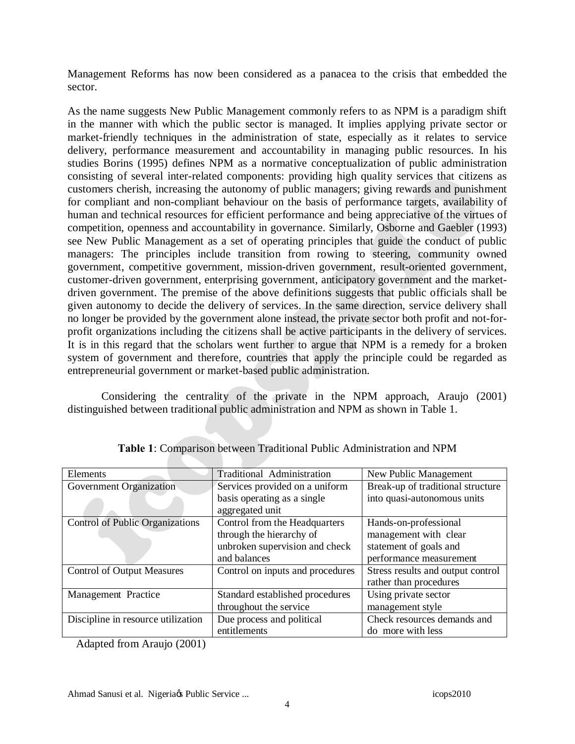Management Reforms has now been considered as a panacea to the crisis that embedded the sector.

As the name suggests New Public Management commonly refers to as NPM is a paradigm shift in the manner with which the public sector is managed. It implies applying private sector or market-friendly techniques in the administration of state, especially as it relates to service delivery, performance measurement and accountability in managing public resources. In his studies Borins (1995) defines NPM as a normative conceptualization of public administration consisting of several inter-related components: providing high quality services that citizens as customers cherish, increasing the autonomy of public managers; giving rewards and punishment for compliant and non-compliant behaviour on the basis of performance targets, availability of human and technical resources for efficient performance and being appreciative of the virtues of competition, openness and accountability in governance. Similarly, Osborne and Gaebler (1993) see New Public Management as a set of operating principles that guide the conduct of public managers: The principles include transition from rowing to steering, community owned government, competitive government, mission-driven government, result-oriented government, customer-driven government, enterprising government, anticipatory government and the marketdriven government. The premise of the above definitions suggests that public officials shall be given autonomy to decide the delivery of services. In the same direction, service delivery shall no longer be provided by the government alone instead, the private sector both profit and not-forprofit organizations including the citizens shall be active participants in the delivery of services. It is in this regard that the scholars went further to argue that NPM is a remedy for a broken system of government and therefore, countries that apply the principle could be regarded as entrepreneurial government or market-based public administration.

Considering the centrality of the private in the NPM approach, Araujo (2001) distinguished between traditional public administration and NPM as shown in Table 1.

| Elements                               | Traditional Administration       | New Public Management             |
|----------------------------------------|----------------------------------|-----------------------------------|
| Government Organization                | Services provided on a uniform   | Break-up of traditional structure |
|                                        | basis operating as a single      | into quasi-autonomous units       |
|                                        | aggregated unit                  |                                   |
| <b>Control of Public Organizations</b> | Control from the Headquarters    | Hands-on-professional             |
|                                        | through the hierarchy of         | management with clear             |
|                                        | unbroken supervision and check   | statement of goals and            |
|                                        | and balances                     | performance measurement           |
| <b>Control of Output Measures</b>      | Control on inputs and procedures | Stress results and output control |
|                                        |                                  | rather than procedures            |
| Management Practice                    | Standard established procedures  | Using private sector              |
|                                        | throughout the service           | management style                  |
| Discipline in resource utilization     | Due process and political        | Check resources demands and       |
|                                        | entitlements                     | do more with less                 |

**Table 1**: Comparison between Traditional Public Administration and NPM

Adapted from Araujo (2001)

Ahmad Sanusi et al. Nigeriags Public Service ... icops2010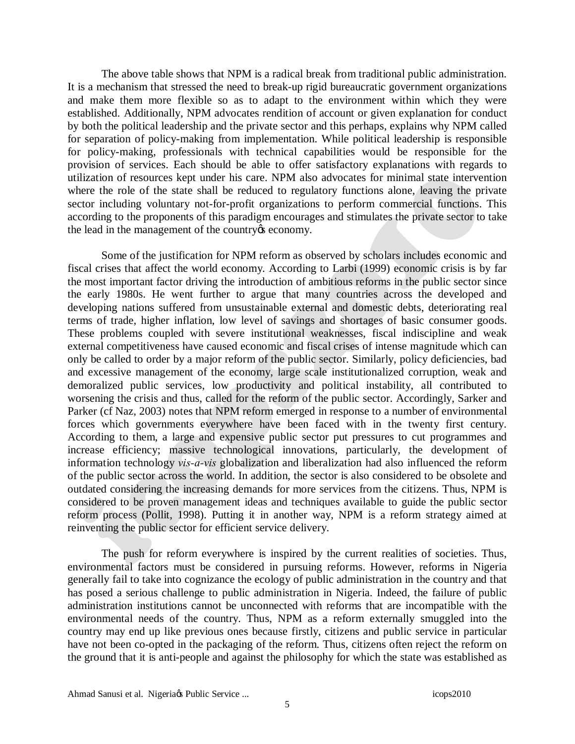The above table shows that NPM is a radical break from traditional public administration. It is a mechanism that stressed the need to break-up rigid bureaucratic government organizations and make them more flexible so as to adapt to the environment within which they were established. Additionally, NPM advocates rendition of account or given explanation for conduct by both the political leadership and the private sector and this perhaps, explains why NPM called for separation of policy-making from implementation. While political leadership is responsible for policy-making, professionals with technical capabilities would be responsible for the provision of services. Each should be able to offer satisfactory explanations with regards to utilization of resources kept under his care. NPM also advocates for minimal state intervention where the role of the state shall be reduced to regulatory functions alone, leaving the private sector including voluntary not-for-profit organizations to perform commercial functions. This according to the proponents of this paradigm encourages and stimulates the private sector to take the lead in the management of the country *is* economy.

Some of the justification for NPM reform as observed by scholars includes economic and fiscal crises that affect the world economy. According to Larbi (1999) economic crisis is by far the most important factor driving the introduction of ambitious reforms in the public sector since the early 1980s. He went further to argue that many countries across the developed and developing nations suffered from unsustainable external and domestic debts, deteriorating real terms of trade, higher inflation, low level of savings and shortages of basic consumer goods. These problems coupled with severe institutional weaknesses, fiscal indiscipline and weak external competitiveness have caused economic and fiscal crises of intense magnitude which can only be called to order by a major reform of the public sector. Similarly, policy deficiencies, bad and excessive management of the economy, large scale institutionalized corruption, weak and demoralized public services, low productivity and political instability, all contributed to worsening the crisis and thus, called for the reform of the public sector. Accordingly, Sarker and Parker (cf Naz, 2003) notes that NPM reform emerged in response to a number of environmental forces which governments everywhere have been faced with in the twenty first century. According to them, a large and expensive public sector put pressures to cut programmes and increase efficiency; massive technological innovations, particularly, the development of information technology *vis-a-vis* globalization and liberalization had also influenced the reform of the public sector across the world. In addition, the sector is also considered to be obsolete and outdated considering the increasing demands for more services from the citizens. Thus, NPM is considered to be proven management ideas and techniques available to guide the public sector reform process (Pollit, 1998). Putting it in another way, NPM is a reform strategy aimed at reinventing the public sector for efficient service delivery.

The push for reform everywhere is inspired by the current realities of societies. Thus, environmental factors must be considered in pursuing reforms. However, reforms in Nigeria generally fail to take into cognizance the ecology of public administration in the country and that has posed a serious challenge to public administration in Nigeria. Indeed, the failure of public administration institutions cannot be unconnected with reforms that are incompatible with the environmental needs of the country. Thus, NPM as a reform externally smuggled into the country may end up like previous ones because firstly, citizens and public service in particular have not been co-opted in the packaging of the reform. Thus, citizens often reject the reform on the ground that it is anti-people and against the philosophy for which the state was established as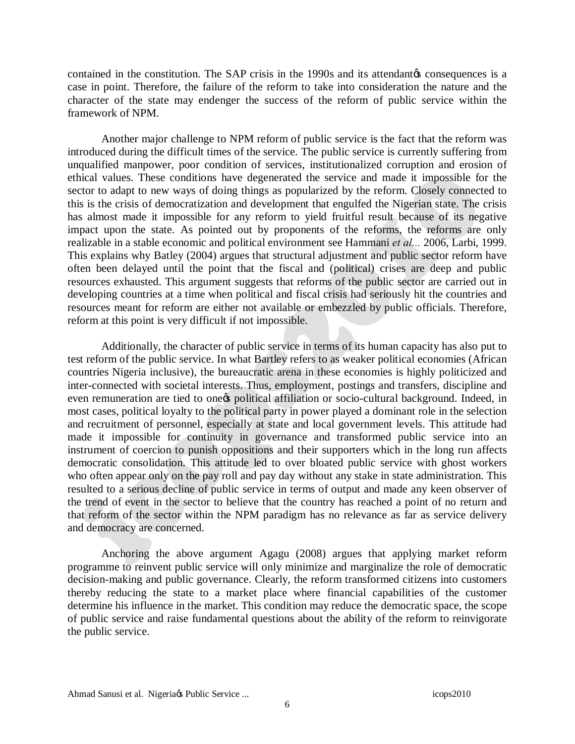contained in the constitution. The SAP crisis in the 1990s and its attendant to consequences is a case in point. Therefore, the failure of the reform to take into consideration the nature and the character of the state may endenger the success of the reform of public service within the framework of NPM.

Another major challenge to NPM reform of public service is the fact that the reform was introduced during the difficult times of the service. The public service is currently suffering from unqualified manpower, poor condition of services, institutionalized corruption and erosion of ethical values. These conditions have degenerated the service and made it impossible for the sector to adapt to new ways of doing things as popularized by the reform. Closely connected to this is the crisis of democratization and development that engulfed the Nigerian state. The crisis has almost made it impossible for any reform to yield fruitful result because of its negative impact upon the state. As pointed out by proponents of the reforms, the reforms are only realizable in a stable economic and political environment see Hammani *et al...* 2006, Larbi, 1999. This explains why Batley (2004) argues that structural adjustment and public sector reform have often been delayed until the point that the fiscal and (political) crises are deep and public resources exhausted. This argument suggests that reforms of the public sector are carried out in developing countries at a time when political and fiscal crisis had seriously hit the countries and resources meant for reform are either not available or embezzled by public officials. Therefore, reform at this point is very difficult if not impossible.

Additionally, the character of public service in terms of its human capacity has also put to test reform of the public service. In what Bartley refers to as weaker political economies (African countries Nigeria inclusive), the bureaucratic arena in these economies is highly politicized and inter-connected with societal interests. Thus, employment, postings and transfers, discipline and even remuneration are tied to one political affiliation or socio-cultural background. Indeed, in most cases, political loyalty to the political party in power played a dominant role in the selection and recruitment of personnel, especially at state and local government levels. This attitude had made it impossible for continuity in governance and transformed public service into an instrument of coercion to punish oppositions and their supporters which in the long run affects democratic consolidation. This attitude led to over bloated public service with ghost workers who often appear only on the pay roll and pay day without any stake in state administration. This resulted to a serious decline of public service in terms of output and made any keen observer of the trend of event in the sector to believe that the country has reached a point of no return and that reform of the sector within the NPM paradigm has no relevance as far as service delivery and democracy are concerned.

Anchoring the above argument Agagu (2008) argues that applying market reform programme to reinvent public service will only minimize and marginalize the role of democratic decision-making and public governance. Clearly, the reform transformed citizens into customers thereby reducing the state to a market place where financial capabilities of the customer determine his influence in the market. This condition may reduce the democratic space, the scope of public service and raise fundamental questions about the ability of the reform to reinvigorate the public service.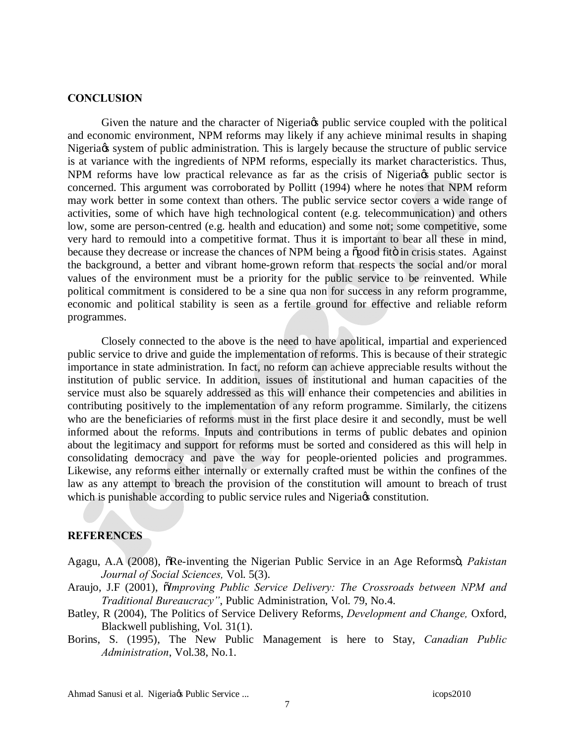### **CONCLUSION**

Given the nature and the character of Nigeria ty public service coupled with the political and economic environment, NPM reforms may likely if any achieve minimal results in shaping Nigeria ts system of public administration. This is largely because the structure of public service is at variance with the ingredients of NPM reforms, especially its market characteristics. Thus, NPM reforms have low practical relevance as far as the crisis of Nigeria opublic sector is concerned. This argument was corroborated by Pollitt (1994) where he notes that NPM reform may work better in some context than others. The public service sector covers a wide range of activities, some of which have high technological content (e.g. telecommunication) and others low, some are person-centred (e.g. health and education) and some not; some competitive, some very hard to remould into a competitive format. Thus it is important to bear all these in mind, because they decrease or increase the chances of NPM being a  $\tilde{\alpha}$  good fito in crisis states. Against the background, a better and vibrant home-grown reform that respects the social and/or moral values of the environment must be a priority for the public service to be reinvented. While political commitment is considered to be a sine qua non for success in any reform programme, economic and political stability is seen as a fertile ground for effective and reliable reform programmes.

Closely connected to the above is the need to have apolitical, impartial and experienced public service to drive and guide the implementation of reforms. This is because of their strategic importance in state administration. In fact, no reform can achieve appreciable results without the institution of public service. In addition, issues of institutional and human capacities of the service must also be squarely addressed as this will enhance their competencies and abilities in contributing positively to the implementation of any reform programme. Similarly, the citizens who are the beneficiaries of reforms must in the first place desire it and secondly, must be well informed about the reforms. Inputs and contributions in terms of public debates and opinion about the legitimacy and support for reforms must be sorted and considered as this will help in consolidating democracy and pave the way for people-oriented policies and programmes. Likewise, any reforms either internally or externally crafted must be within the confines of the law as any attempt to breach the provision of the constitution will amount to breach of trust which is punishable according to public service rules and Nigeria  $\alpha$  constitution.

#### **REFERENCES**

- Agagu, A.A (2008),  $\delta$ Re-inventing the Nigerian Public Service in an Age Reformsö, *Pakistan Journal of Social Sciences,* Vol. 5(3).
- Araujo, J.F (2001),  $\tilde{o}$ *Improving Public Service Delivery: The Crossroads between NPM and Traditional Bureaucracy"*, Public Administration, Vol. 79, No.4.
- Batley, R (2004), The Politics of Service Delivery Reforms, *Development and Change,* Oxford, Blackwell publishing, Vol. 31(1).
- Borins, S. (1995), The New Public Management is here to Stay, *Canadian Public Administration*, Vol.38, No.1.